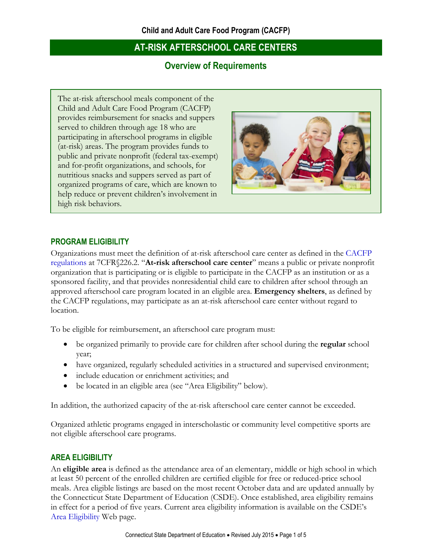## **Overview of Requirements**

The at-risk afterschool meals component of the Child and Adult Care Food Program (CACFP) provides reimbursement for snacks and suppers served to children through age 18 who are participating in afterschool programs in eligible (at-risk) areas. The program provides funds to public and private nonprofit (federal tax-exempt) and for-profit organizations, and schools, for nutritious snacks and suppers served as part of organized programs of care, which are known to help reduce or prevent children's involvement in high risk behaviors.



#### **PROGRAM ELIGIBILITY**

Organizations must meet the definition of at-risk afterschool care center as defined in the [CACFP](http://www.fns.usda.gov/sites/default/files/CFR226.pdf)  [regulations](http://www.fns.usda.gov/sites/default/files/CFR226.pdf) at 7CFR§226.2. "**At-risk afterschool care center**" means a public or private nonprofit organization that is participating or is eligible to participate in the CACFP as an institution or as a sponsored facility, and that provides nonresidential child care to children after school through an approved afterschool care program located in an eligible area. **Emergency shelters**, as defined by the CACFP regulations, may participate as an at-risk afterschool care center without regard to location.

To be eligible for reimbursement, an afterschool care program must:

- be organized primarily to provide care for children after school during the **regular** school year;
- have organized, regularly scheduled activities in a structured and supervised environment;
- include education or enrichment activities; and
- be located in an eligible area (see "Area Eligibility" below).

In addition, the authorized capacity of the at-risk afterschool care center cannot be exceeded.

Organized athletic programs engaged in interscholastic or community level competitive sports are not eligible afterschool care programs.

#### **AREA ELIGIBILITY**

An **eligible area** is defined as the attendance area of an elementary, middle or high school in which at least 50 percent of the enrolled children are certified eligible for free or reduced-price school meals. Area eligible listings are based on the most recent October data and are updated annually by the Connecticut State Department of Education (CSDE). Once established, area eligibility remains in effect for a period of five years. Current area eligibility information is available on the CSDE's [Area Eligibility](http://www.sde.ct.gov/sde/cwp/view.asp?a=2626&q=333774) Web page.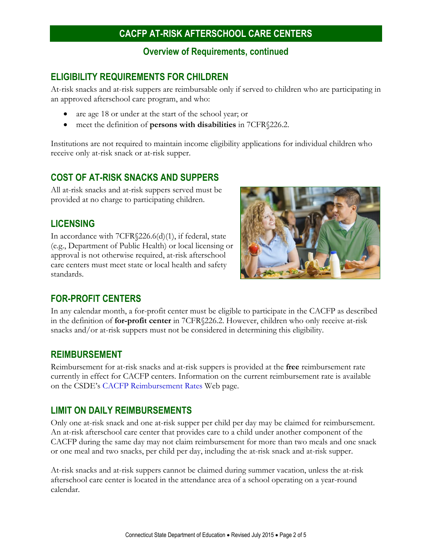#### **Overview of Requirements, continued**

## **ELIGIBILITY REQUIREMENTS FOR CHILDREN**

At-risk snacks and at-risk suppers are reimbursable only if served to children who are participating in an approved afterschool care program, and who:

- are age 18 or under at the start of the school year; or
- meet the definition of **persons with disabilities** in 7CFR§226.2.

Institutions are not required to maintain income eligibility applications for individual children who receive only at-risk snack or at-risk supper.

## **COST OF AT-RISK SNACKS AND SUPPERS**

All at-risk snacks and at-risk suppers served must be provided at no charge to participating children.

### **LICENSING**

In accordance with 7CFR§226.6(d)(1), if federal, state (e.g., Department of Public Health) or local licensing or approval is not otherwise required, at-risk afterschool care centers must meet state or local health and safety standards.



## **FOR-PROFIT CENTERS**

In any calendar month, a for-profit center must be eligible to participate in the CACFP as described in the definition of **for-profit center** in 7CFR§226.2. However, children who only receive at-risk snacks and/or at-risk suppers must not be considered in determining this eligibility.

#### **REIMBURSEMENT**

Reimbursement for at-risk snacks and at-risk suppers is provided at the **free** reimbursement rate currently in effect for CACFP centers. Information on the current reimbursement rate is available on the CSDE's [CACFP Reimbursement Rates](http://www.sde.ct.gov/sde/cwp/view.asp?a=2626&q=335738) Web page.

### **LIMIT ON DAILY REIMBURSEMENTS**

Only one at-risk snack and one at-risk supper per child per day may be claimed for reimbursement. An at-risk afterschool care center that provides care to a child under another component of the CACFP during the same day may not claim reimbursement for more than two meals and one snack or one meal and two snacks, per child per day, including the at-risk snack and at-risk supper.

At-risk snacks and at-risk suppers cannot be claimed during summer vacation, unless the at-risk afterschool care center is located in the attendance area of a school operating on a year-round calendar.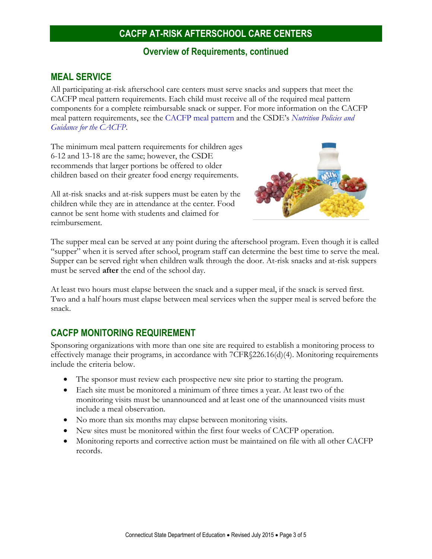#### **Overview of Requirements, continued**

#### **MEAL SERVICE**

All participating at-risk afterschool care centers must serve snacks and suppers that meet the CACFP meal pattern requirements. Each child must receive all of the required meal pattern components for a complete reimbursable snack or supper. For more information on the CACFP meal pattern requirements, see the [CACFP meal pattern](http://www.sde.ct.gov/sde/lib/sde/pdf/deps/nutrition/cacfp/mp/cacfp_mpchild.pdf) and the CSDE's *[Nutrition Policies and](http://www.sde.ct.gov/sde/cwp/view.asp?a=2626&q=322326)  [Guidance for the CACFP](http://www.sde.ct.gov/sde/cwp/view.asp?a=2626&q=322326)*.

The minimum meal pattern requirements for children ages 6-12 and 13-18 are the same; however, the CSDE recommends that larger portions be offered to older children based on their greater food energy requirements.

All at-risk snacks and at-risk suppers must be eaten by the children while they are in attendance at the center. Food cannot be sent home with students and claimed for reimbursement.



The supper meal can be served at any point during the afterschool program. Even though it is called "supper" when it is served after school, program staff can determine the best time to serve the meal. Supper can be served right when children walk through the door. At-risk snacks and at-risk suppers must be served **after** the end of the school day.

At least two hours must elapse between the snack and a supper meal, if the snack is served first. Two and a half hours must elapse between meal services when the supper meal is served before the snack.

### **CACFP MONITORING REQUIREMENT**

Sponsoring organizations with more than one site are required to establish a monitoring process to effectively manage their programs, in accordance with 7CFR§226.16(d)(4). Monitoring requirements include the criteria below.

- The sponsor must review each prospective new site prior to starting the program.
- Each site must be monitored a minimum of three times a year. At least two of the monitoring visits must be unannounced and at least one of the unannounced visits must include a meal observation.
- No more than six months may elapse between monitoring visits.
- New sites must be monitored within the first four weeks of CACFP operation.
- Monitoring reports and corrective action must be maintained on file with all other CACFP records.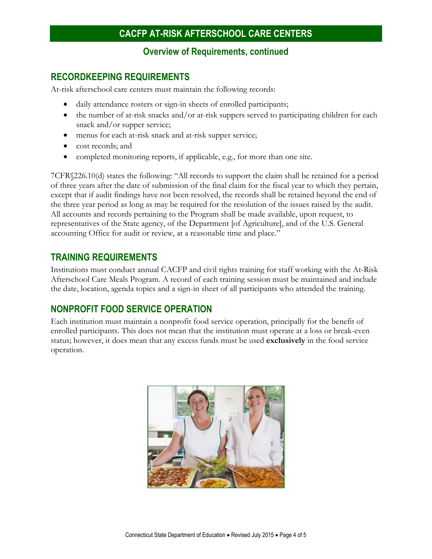#### **Overview of Requirements, continued**

#### **RECORDKEEPING REQUIREMENTS**

At-risk afterschool care centers must maintain the following records:

- daily attendance rosters or sign-in sheets of enrolled participants;
- the number of at-risk snacks and/or at-risk suppers served to participating children for each snack and/or supper service;
- menus for each at-risk snack and at-risk supper service;
- cost records; and
- completed monitoring reports, if applicable, e.g., for more than one site.

7CFR§226.10(d) states the following: "All records to support the claim shall be retained for a period of three years after the date of submission of the final claim for the fiscal year to which they pertain, except that if audit findings have not been resolved, the records shall be retained beyond the end of the three year period as long as may be required for the resolution of the issues raised by the audit. All accounts and records pertaining to the Program shall be made available, upon request, to representatives of the State agency, of the Department [of Agriculture], and of the U.S. General accounting Office for audit or review, at a reasonable time and place."

#### **TRAINING REQUIREMENTS**

Institutions must conduct annual CACFP and civil rights training for staff working with the At-Risk Afterschool Care Meals Program. A record of each training session must be maintained and include the date, location, agenda topics and a sign-in sheet of all participants who attended the training.

### **NONPROFIT FOOD SERVICE OPERATION**

Each institution must maintain a nonprofit food service operation, principally for the benefit of enrolled participants. This does not mean that the institution must operate at a loss or break-even status; however, it does mean that any excess funds must be used **exclusively** in the food service operation.